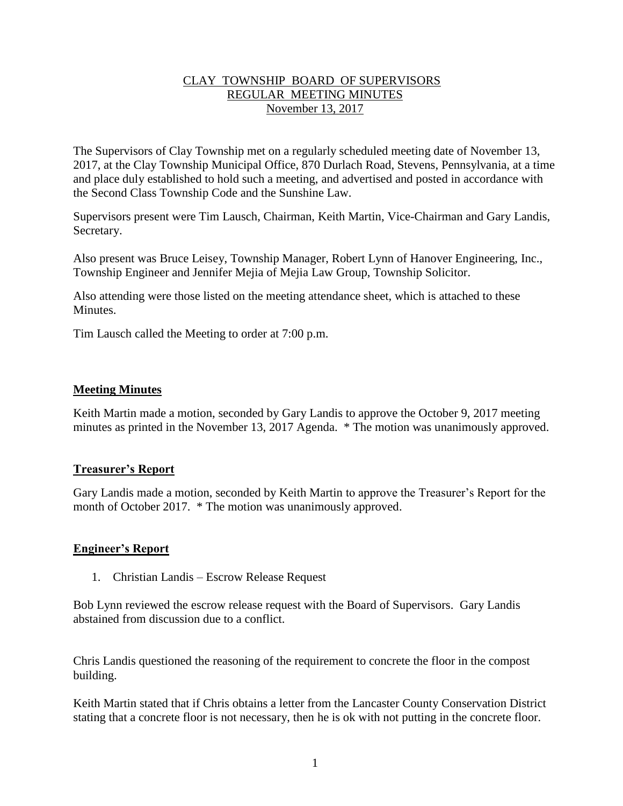# CLAY TOWNSHIP BOARD OF SUPERVISORS REGULAR MEETING MINUTES November 13, 2017

The Supervisors of Clay Township met on a regularly scheduled meeting date of November 13, 2017, at the Clay Township Municipal Office, 870 Durlach Road, Stevens, Pennsylvania, at a time and place duly established to hold such a meeting, and advertised and posted in accordance with the Second Class Township Code and the Sunshine Law.

Supervisors present were Tim Lausch, Chairman, Keith Martin, Vice-Chairman and Gary Landis, Secretary.

Also present was Bruce Leisey, Township Manager, Robert Lynn of Hanover Engineering, Inc., Township Engineer and Jennifer Mejia of Mejia Law Group, Township Solicitor.

Also attending were those listed on the meeting attendance sheet, which is attached to these **Minutes** 

Tim Lausch called the Meeting to order at 7:00 p.m.

### **Meeting Minutes**

Keith Martin made a motion, seconded by Gary Landis to approve the October 9, 2017 meeting minutes as printed in the November 13, 2017 Agenda. \* The motion was unanimously approved.

### **Treasurer's Report**

Gary Landis made a motion, seconded by Keith Martin to approve the Treasurer's Report for the month of October 2017. \* The motion was unanimously approved.

### **Engineer's Report**

1. Christian Landis – Escrow Release Request

Bob Lynn reviewed the escrow release request with the Board of Supervisors. Gary Landis abstained from discussion due to a conflict.

Chris Landis questioned the reasoning of the requirement to concrete the floor in the compost building.

Keith Martin stated that if Chris obtains a letter from the Lancaster County Conservation District stating that a concrete floor is not necessary, then he is ok with not putting in the concrete floor.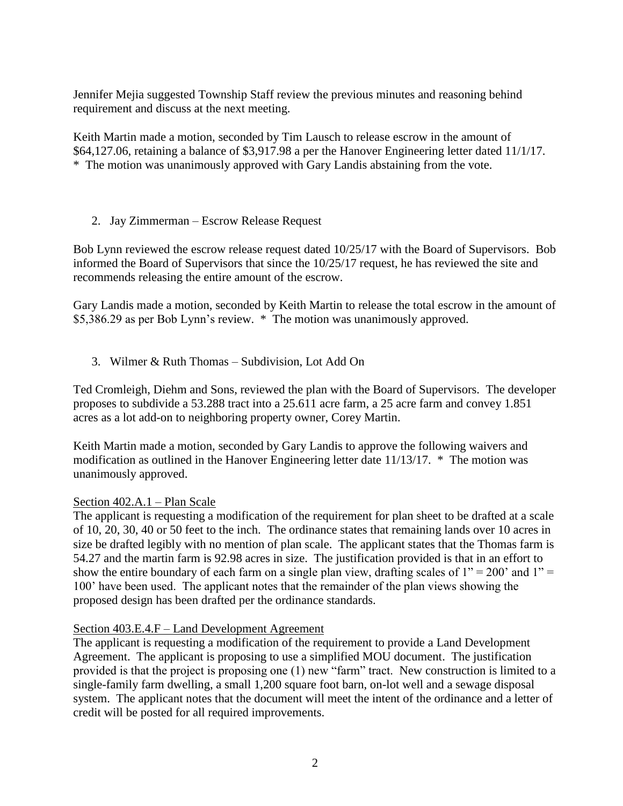Jennifer Mejia suggested Township Staff review the previous minutes and reasoning behind requirement and discuss at the next meeting.

Keith Martin made a motion, seconded by Tim Lausch to release escrow in the amount of \$64,127.06, retaining a balance of \$3,917.98 a per the Hanover Engineering letter dated 11/1/17. \* The motion was unanimously approved with Gary Landis abstaining from the vote.

### 2. Jay Zimmerman – Escrow Release Request

Bob Lynn reviewed the escrow release request dated 10/25/17 with the Board of Supervisors. Bob informed the Board of Supervisors that since the 10/25/17 request, he has reviewed the site and recommends releasing the entire amount of the escrow.

Gary Landis made a motion, seconded by Keith Martin to release the total escrow in the amount of \$5,386.29 as per Bob Lynn's review. \* The motion was unanimously approved.

3. Wilmer & Ruth Thomas – Subdivision, Lot Add On

Ted Cromleigh, Diehm and Sons, reviewed the plan with the Board of Supervisors. The developer proposes to subdivide a 53.288 tract into a 25.611 acre farm, a 25 acre farm and convey 1.851 acres as a lot add-on to neighboring property owner, Corey Martin.

Keith Martin made a motion, seconded by Gary Landis to approve the following waivers and modification as outlined in the Hanover Engineering letter date 11/13/17. \* The motion was unanimously approved.

### Section 402.A.1 – Plan Scale

The applicant is requesting a modification of the requirement for plan sheet to be drafted at a scale of 10, 20, 30, 40 or 50 feet to the inch. The ordinance states that remaining lands over 10 acres in size be drafted legibly with no mention of plan scale. The applicant states that the Thomas farm is 54.27 and the martin farm is 92.98 acres in size. The justification provided is that in an effort to show the entire boundary of each farm on a single plan view, drafting scales of  $1" = 200'$  and  $1" =$ 100' have been used. The applicant notes that the remainder of the plan views showing the proposed design has been drafted per the ordinance standards.

### Section 403.E.4.F – Land Development Agreement

The applicant is requesting a modification of the requirement to provide a Land Development Agreement. The applicant is proposing to use a simplified MOU document. The justification provided is that the project is proposing one (1) new "farm" tract. New construction is limited to a single-family farm dwelling, a small 1,200 square foot barn, on-lot well and a sewage disposal system. The applicant notes that the document will meet the intent of the ordinance and a letter of credit will be posted for all required improvements.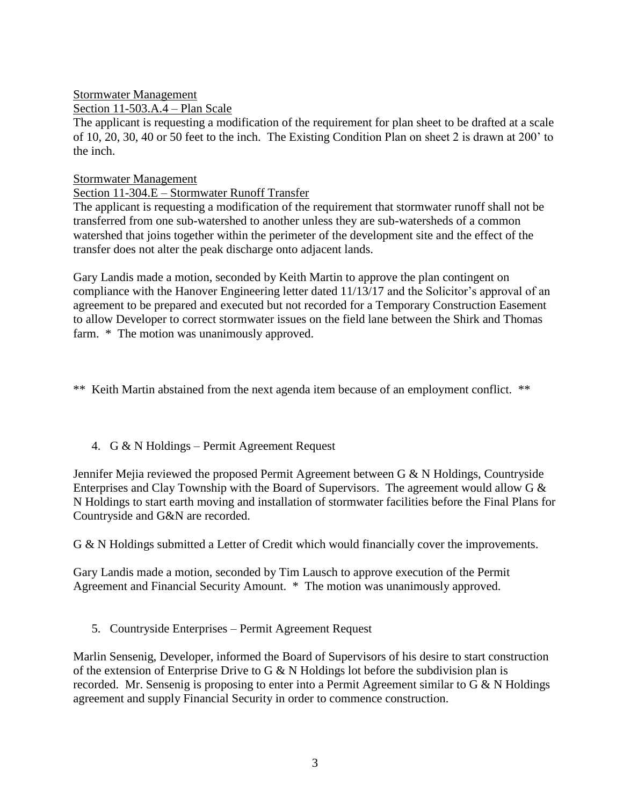## Stormwater Management

## Section 11-503.A.4 – Plan Scale

The applicant is requesting a modification of the requirement for plan sheet to be drafted at a scale of 10, 20, 30, 40 or 50 feet to the inch. The Existing Condition Plan on sheet 2 is drawn at 200' to the inch.

### Stormwater Management

# Section 11-304.E – Stormwater Runoff Transfer

The applicant is requesting a modification of the requirement that stormwater runoff shall not be transferred from one sub-watershed to another unless they are sub-watersheds of a common watershed that joins together within the perimeter of the development site and the effect of the transfer does not alter the peak discharge onto adjacent lands.

Gary Landis made a motion, seconded by Keith Martin to approve the plan contingent on compliance with the Hanover Engineering letter dated 11/13/17 and the Solicitor's approval of an agreement to be prepared and executed but not recorded for a Temporary Construction Easement to allow Developer to correct stormwater issues on the field lane between the Shirk and Thomas farm. \* The motion was unanimously approved.

\*\* Keith Martin abstained from the next agenda item because of an employment conflict. \*\*

# 4. G & N Holdings – Permit Agreement Request

Jennifer Mejia reviewed the proposed Permit Agreement between G & N Holdings, Countryside Enterprises and Clay Township with the Board of Supervisors. The agreement would allow G & N Holdings to start earth moving and installation of stormwater facilities before the Final Plans for Countryside and G&N are recorded.

G & N Holdings submitted a Letter of Credit which would financially cover the improvements.

Gary Landis made a motion, seconded by Tim Lausch to approve execution of the Permit Agreement and Financial Security Amount. \* The motion was unanimously approved.

# 5. Countryside Enterprises – Permit Agreement Request

Marlin Sensenig, Developer, informed the Board of Supervisors of his desire to start construction of the extension of Enterprise Drive to G & N Holdings lot before the subdivision plan is recorded. Mr. Sensenig is proposing to enter into a Permit Agreement similar to G & N Holdings agreement and supply Financial Security in order to commence construction.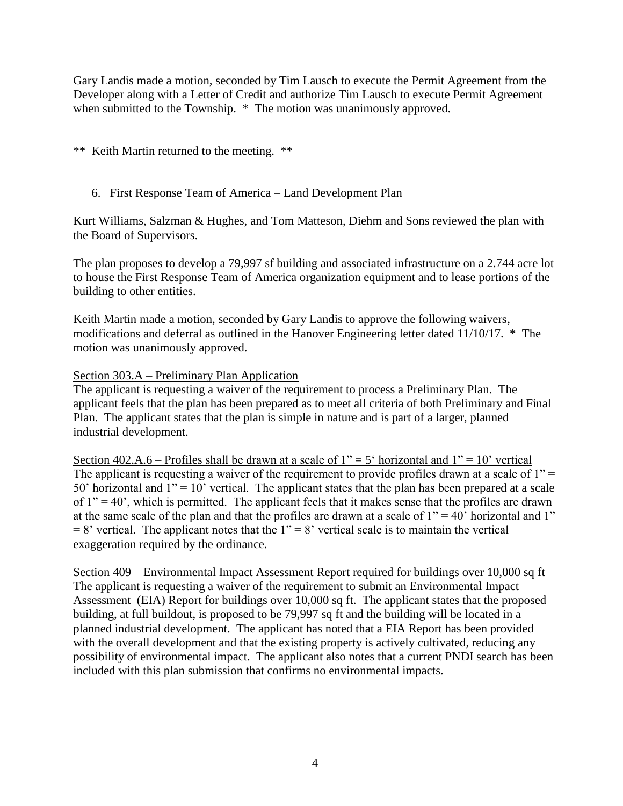Gary Landis made a motion, seconded by Tim Lausch to execute the Permit Agreement from the Developer along with a Letter of Credit and authorize Tim Lausch to execute Permit Agreement when submitted to the Township.  $*$  The motion was unanimously approved.

\*\* Keith Martin returned to the meeting. \*\*

## 6. First Response Team of America – Land Development Plan

Kurt Williams, Salzman & Hughes, and Tom Matteson, Diehm and Sons reviewed the plan with the Board of Supervisors.

The plan proposes to develop a 79,997 sf building and associated infrastructure on a 2.744 acre lot to house the First Response Team of America organization equipment and to lease portions of the building to other entities.

Keith Martin made a motion, seconded by Gary Landis to approve the following waivers, modifications and deferral as outlined in the Hanover Engineering letter dated 11/10/17. \* The motion was unanimously approved.

### Section 303.A – Preliminary Plan Application

The applicant is requesting a waiver of the requirement to process a Preliminary Plan. The applicant feels that the plan has been prepared as to meet all criteria of both Preliminary and Final Plan. The applicant states that the plan is simple in nature and is part of a larger, planned industrial development.

Section 402.A.6 – Profiles shall be drawn at a scale of  $1" = 5'$  horizontal and  $1" = 10'$  vertical The applicant is requesting a waiver of the requirement to provide profiles drawn at a scale of  $1"$  = 50' horizontal and  $1'' = 10'$  vertical. The applicant states that the plan has been prepared at a scale of  $1'' = 40'$ , which is permitted. The applicant feels that it makes sense that the profiles are drawn at the same scale of the plan and that the profiles are drawn at a scale of  $1" = 40'$  horizontal and 1"  $= 8'$  vertical. The applicant notes that the 1"  $= 8'$  vertical scale is to maintain the vertical exaggeration required by the ordinance.

Section 409 – Environmental Impact Assessment Report required for buildings over 10,000 sq ft The applicant is requesting a waiver of the requirement to submit an Environmental Impact Assessment (EIA) Report for buildings over 10,000 sq ft. The applicant states that the proposed building, at full buildout, is proposed to be 79,997 sq ft and the building will be located in a planned industrial development. The applicant has noted that a EIA Report has been provided with the overall development and that the existing property is actively cultivated, reducing any possibility of environmental impact. The applicant also notes that a current PNDI search has been included with this plan submission that confirms no environmental impacts.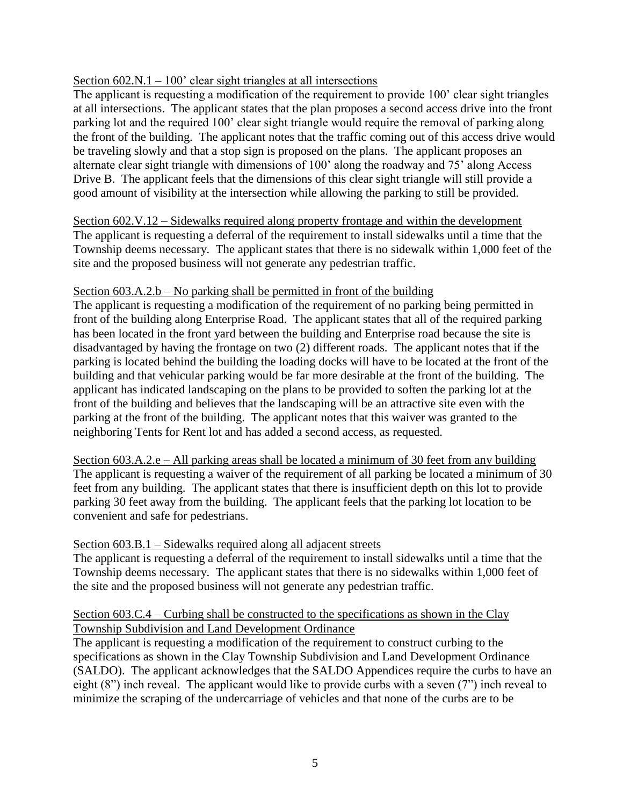### Section  $602.N.1 - 100'$  clear sight triangles at all intersections

The applicant is requesting a modification of the requirement to provide 100' clear sight triangles at all intersections. The applicant states that the plan proposes a second access drive into the front parking lot and the required 100' clear sight triangle would require the removal of parking along the front of the building. The applicant notes that the traffic coming out of this access drive would be traveling slowly and that a stop sign is proposed on the plans. The applicant proposes an alternate clear sight triangle with dimensions of 100' along the roadway and 75' along Access Drive B. The applicant feels that the dimensions of this clear sight triangle will still provide a good amount of visibility at the intersection while allowing the parking to still be provided.

Section 602.V.12 – Sidewalks required along property frontage and within the development The applicant is requesting a deferral of the requirement to install sidewalks until a time that the Township deems necessary. The applicant states that there is no sidewalk within 1,000 feet of the site and the proposed business will not generate any pedestrian traffic.

### Section  $603.A.2.b - No$  parking shall be permitted in front of the building

The applicant is requesting a modification of the requirement of no parking being permitted in front of the building along Enterprise Road. The applicant states that all of the required parking has been located in the front yard between the building and Enterprise road because the site is disadvantaged by having the frontage on two (2) different roads. The applicant notes that if the parking is located behind the building the loading docks will have to be located at the front of the building and that vehicular parking would be far more desirable at the front of the building. The applicant has indicated landscaping on the plans to be provided to soften the parking lot at the front of the building and believes that the landscaping will be an attractive site even with the parking at the front of the building. The applicant notes that this waiver was granted to the neighboring Tents for Rent lot and has added a second access, as requested.

Section 603.A.2.e – All parking areas shall be located a minimum of 30 feet from any building The applicant is requesting a waiver of the requirement of all parking be located a minimum of 30 feet from any building. The applicant states that there is insufficient depth on this lot to provide parking 30 feet away from the building. The applicant feels that the parking lot location to be convenient and safe for pedestrians.

### Section 603.B.1 – Sidewalks required along all adjacent streets

The applicant is requesting a deferral of the requirement to install sidewalks until a time that the Township deems necessary. The applicant states that there is no sidewalks within 1,000 feet of the site and the proposed business will not generate any pedestrian traffic.

### Section 603.C.4 – Curbing shall be constructed to the specifications as shown in the Clay Township Subdivision and Land Development Ordinance

The applicant is requesting a modification of the requirement to construct curbing to the specifications as shown in the Clay Township Subdivision and Land Development Ordinance (SALDO). The applicant acknowledges that the SALDO Appendices require the curbs to have an eight (8") inch reveal. The applicant would like to provide curbs with a seven (7") inch reveal to minimize the scraping of the undercarriage of vehicles and that none of the curbs are to be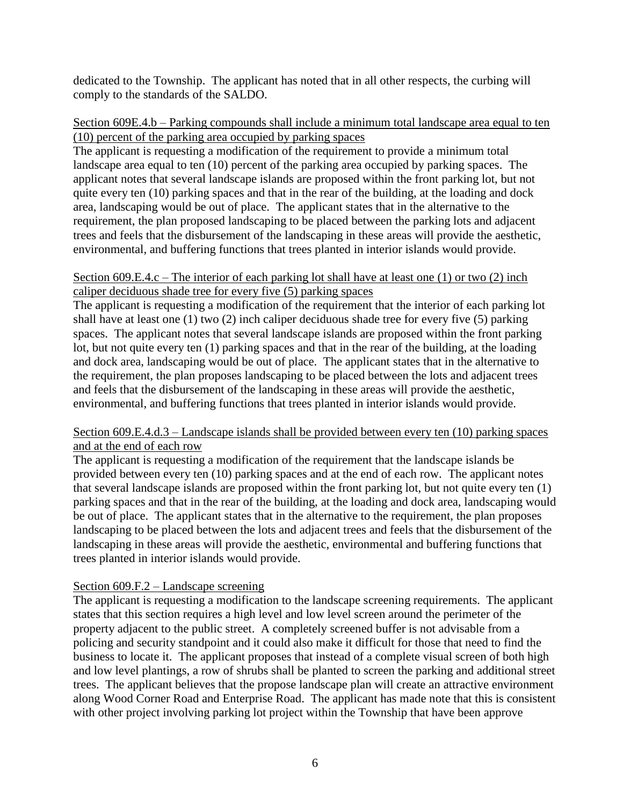dedicated to the Township. The applicant has noted that in all other respects, the curbing will comply to the standards of the SALDO.

### Section 609E.4.b – Parking compounds shall include a minimum total landscape area equal to ten (10) percent of the parking area occupied by parking spaces

The applicant is requesting a modification of the requirement to provide a minimum total landscape area equal to ten (10) percent of the parking area occupied by parking spaces. The applicant notes that several landscape islands are proposed within the front parking lot, but not quite every ten (10) parking spaces and that in the rear of the building, at the loading and dock area, landscaping would be out of place. The applicant states that in the alternative to the requirement, the plan proposed landscaping to be placed between the parking lots and adjacent trees and feels that the disbursement of the landscaping in these areas will provide the aesthetic, environmental, and buffering functions that trees planted in interior islands would provide.

### Section 609.E.4.c – The interior of each parking lot shall have at least one (1) or two (2) inch caliper deciduous shade tree for every five (5) parking spaces

The applicant is requesting a modification of the requirement that the interior of each parking lot shall have at least one (1) two (2) inch caliper deciduous shade tree for every five (5) parking spaces. The applicant notes that several landscape islands are proposed within the front parking lot, but not quite every ten (1) parking spaces and that in the rear of the building, at the loading and dock area, landscaping would be out of place. The applicant states that in the alternative to the requirement, the plan proposes landscaping to be placed between the lots and adjacent trees and feels that the disbursement of the landscaping in these areas will provide the aesthetic, environmental, and buffering functions that trees planted in interior islands would provide.

# Section 609.E.4.d.3 – Landscape islands shall be provided between every ten (10) parking spaces and at the end of each row

The applicant is requesting a modification of the requirement that the landscape islands be provided between every ten (10) parking spaces and at the end of each row. The applicant notes that several landscape islands are proposed within the front parking lot, but not quite every ten (1) parking spaces and that in the rear of the building, at the loading and dock area, landscaping would be out of place. The applicant states that in the alternative to the requirement, the plan proposes landscaping to be placed between the lots and adjacent trees and feels that the disbursement of the landscaping in these areas will provide the aesthetic, environmental and buffering functions that trees planted in interior islands would provide.

# Section 609.F.2 – Landscape screening

The applicant is requesting a modification to the landscape screening requirements. The applicant states that this section requires a high level and low level screen around the perimeter of the property adjacent to the public street. A completely screened buffer is not advisable from a policing and security standpoint and it could also make it difficult for those that need to find the business to locate it. The applicant proposes that instead of a complete visual screen of both high and low level plantings, a row of shrubs shall be planted to screen the parking and additional street trees. The applicant believes that the propose landscape plan will create an attractive environment along Wood Corner Road and Enterprise Road. The applicant has made note that this is consistent with other project involving parking lot project within the Township that have been approve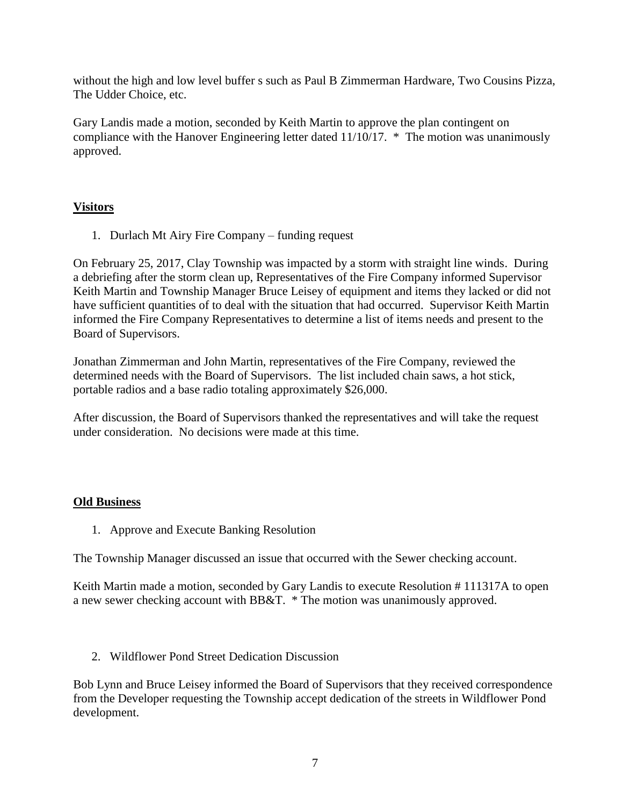without the high and low level buffer s such as Paul B Zimmerman Hardware, Two Cousins Pizza, The Udder Choice, etc.

Gary Landis made a motion, seconded by Keith Martin to approve the plan contingent on compliance with the Hanover Engineering letter dated 11/10/17. \* The motion was unanimously approved.

# **Visitors**

1. Durlach Mt Airy Fire Company – funding request

On February 25, 2017, Clay Township was impacted by a storm with straight line winds. During a debriefing after the storm clean up, Representatives of the Fire Company informed Supervisor Keith Martin and Township Manager Bruce Leisey of equipment and items they lacked or did not have sufficient quantities of to deal with the situation that had occurred. Supervisor Keith Martin informed the Fire Company Representatives to determine a list of items needs and present to the Board of Supervisors.

Jonathan Zimmerman and John Martin, representatives of the Fire Company, reviewed the determined needs with the Board of Supervisors. The list included chain saws, a hot stick, portable radios and a base radio totaling approximately \$26,000.

After discussion, the Board of Supervisors thanked the representatives and will take the request under consideration. No decisions were made at this time.

# **Old Business**

1. Approve and Execute Banking Resolution

The Township Manager discussed an issue that occurred with the Sewer checking account.

Keith Martin made a motion, seconded by Gary Landis to execute Resolution # 111317A to open a new sewer checking account with BB&T. \* The motion was unanimously approved.

2. Wildflower Pond Street Dedication Discussion

Bob Lynn and Bruce Leisey informed the Board of Supervisors that they received correspondence from the Developer requesting the Township accept dedication of the streets in Wildflower Pond development.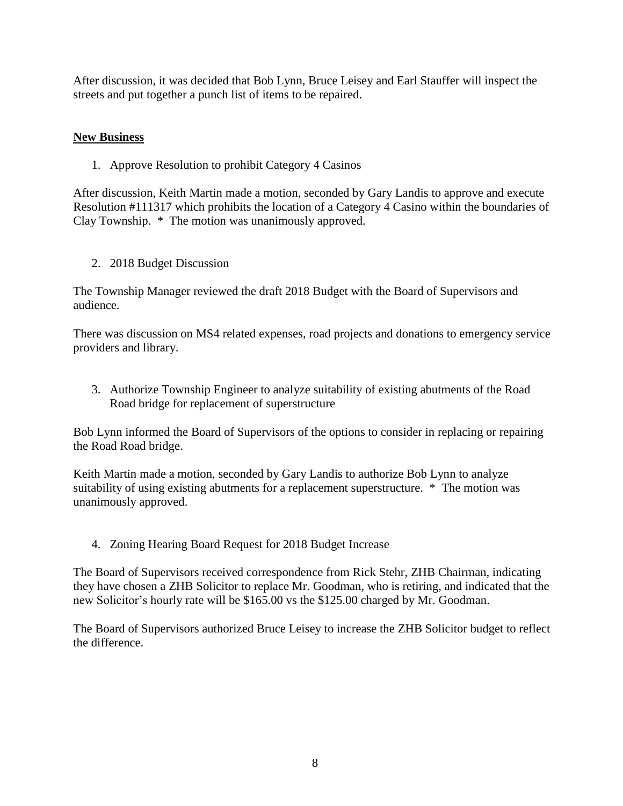After discussion, it was decided that Bob Lynn, Bruce Leisey and Earl Stauffer will inspect the streets and put together a punch list of items to be repaired.

# **New Business**

1. Approve Resolution to prohibit Category 4 Casinos

After discussion, Keith Martin made a motion, seconded by Gary Landis to approve and execute Resolution #111317 which prohibits the location of a Category 4 Casino within the boundaries of Clay Township. \* The motion was unanimously approved.

2. 2018 Budget Discussion

The Township Manager reviewed the draft 2018 Budget with the Board of Supervisors and audience.

There was discussion on MS4 related expenses, road projects and donations to emergency service providers and library.

3. Authorize Township Engineer to analyze suitability of existing abutments of the Road Road bridge for replacement of superstructure

Bob Lynn informed the Board of Supervisors of the options to consider in replacing or repairing the Road Road bridge.

Keith Martin made a motion, seconded by Gary Landis to authorize Bob Lynn to analyze suitability of using existing abutments for a replacement superstructure. \* The motion was unanimously approved.

4. Zoning Hearing Board Request for 2018 Budget Increase

The Board of Supervisors received correspondence from Rick Stehr, ZHB Chairman, indicating they have chosen a ZHB Solicitor to replace Mr. Goodman, who is retiring, and indicated that the new Solicitor's hourly rate will be \$165.00 vs the \$125.00 charged by Mr. Goodman.

The Board of Supervisors authorized Bruce Leisey to increase the ZHB Solicitor budget to reflect the difference.